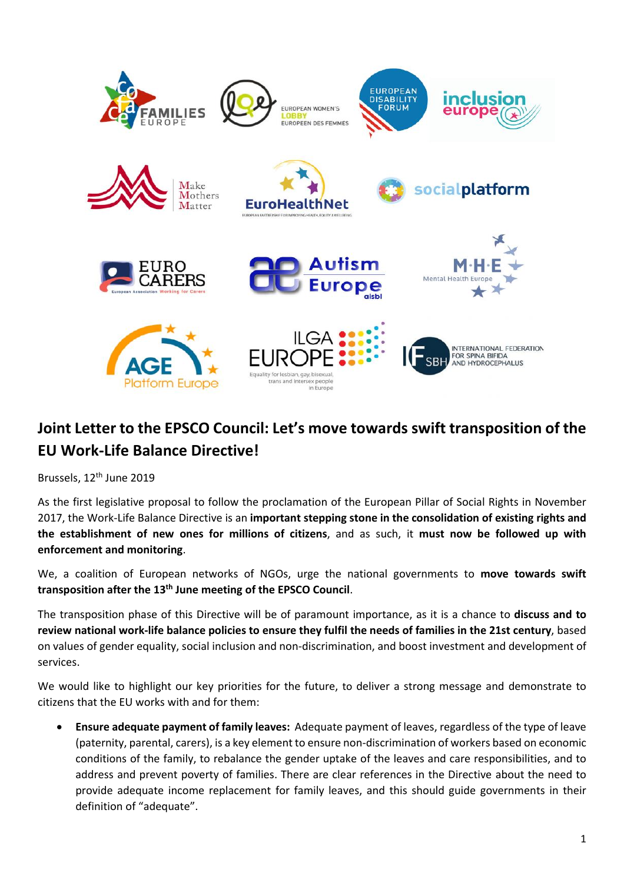

## **Joint Letter to the EPSCO Council: Let's move towards swift transposition of the EU Work-Life Balance Directive!**

Brussels, 12<sup>th</sup> June 2019

As the first legislative proposal to follow the proclamation of the European Pillar of Social Rights in November 2017, the Work-Life Balance Directive is an **important stepping stone in the consolidation of existing rights and the establishment of new ones for millions of citizens**, and as such, it **must now be followed up with enforcement and monitoring**.

We, a coalition of European networks of NGOs, urge the national governments to **move towards swift transposition after the 13th June meeting of the EPSCO Council**.

The transposition phase of this Directive will be of paramount importance, as it is a chance to **discuss and to** review national work-life balance policies to ensure they fulfil the needs of families in the 21st century, based on values of gender equality, social inclusion and non-discrimination, and boost investment and development of services.

We would like to highlight our key priorities for the future, to deliver a strong message and demonstrate to citizens that the EU works with and for them:

• **Ensure adequate payment of family leaves:** Adequate payment of leaves, regardless of the type of leave (paternity, parental, carers), is a key element to ensure non-discrimination of workers based on economic conditions of the family, to rebalance the gender uptake of the leaves and care responsibilities, and to address and prevent poverty of families. There are clear references in the Directive about the need to provide adequate income replacement for family leaves, and this should guide governments in their definition of "adequate".